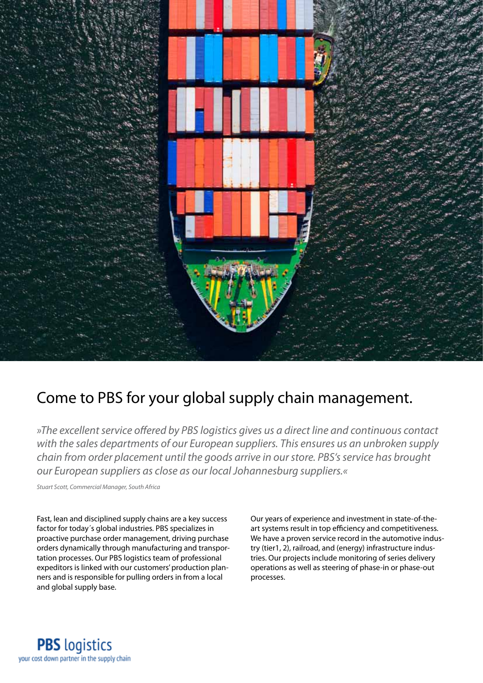

## Come to PBS for your global supply chain management.

*»The excellent service offered by PBS logistics gives us a direct line and continuous contact with the sales departments of our European suppliers. This ensures us an unbroken supply chain from order placement until the goods arrive in our store. PBS's service has brought our European suppliers as close as our local Johannesburg suppliers.«*

*Stuart Scott, Commercial Manager, South Africa*

Fast, lean and disciplined supply chains are a key success factor for today´s global industries. PBS specializes in proactive purchase order management, driving purchase orders dynamically through manufacturing and transportation processes. Our PBS logistics team of professional expeditors is linked with our customers' production planners and is responsible for pulling orders in from a local and global supply base.

Our years of experience and investment in state-of-theart systems result in top efficiency and competitiveness. We have a proven service record in the automotive industry (tier1, 2), railroad, and (energy) infrastructure industries. Our projects include monitoring of series delivery operations as well as steering of phase-in or phase-out processes.

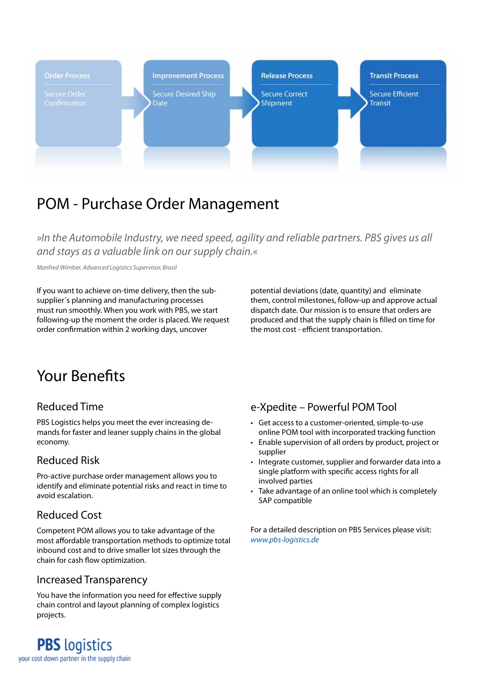

## POM - Purchase Order Management

*»In the Automobile Industry, we need speed, agility and reliable partners. PBS gives us all and stays as a valuable link on our supply chain.«*

*Manfred Wimber, Advanced Logistics Supervisor, Brasil*

If you want to achieve on-time delivery, then the subsupplier´s planning and manufacturing processes must run smoothly. When you work with PBS, we start following-up the moment the order is placed. We request order confirmation within 2 working days, uncover

potential deviations (date, quantity) and eliminate them, control milestones, follow-up and approve actual dispatch date. Our mission is to ensure that orders are produced and that the supply chain is filled on time for the most cost - efficient transportation.

# Your Benefits

## Reduced Time

PBS Logistics helps you meet the ever increasing demands for faster and leaner supply chains in the global economy.

## Reduced Risk

Pro-active purchase order management allows you to identify and eliminate potential risks and react in time to avoid escalation.

## Reduced Cost

Competent POM allows you to take advantage of the most affordable transportation methods to optimize total inbound cost and to drive smaller lot sizes through the chain for cash flow optimization.

## Increased Transparency

You have the information you need for effective supply chain control and layout planning of complex logistics projects.

### e-Xpedite – Powerful POM Tool

- • Get access to a customer-oriented, simple-to-use online POM tool with incorporated tracking function
- Enable supervision of all orders by product, project or supplier
- Integrate customer, supplier and forwarder data into a single platform with specific access rights for all involved parties
- Take advantage of an online tool which is completely SAP compatible

For a detailed description on PBS Services please visit: *www.pbs-logistics.de*

**PBS** logistics your cost down partner in the supply chain